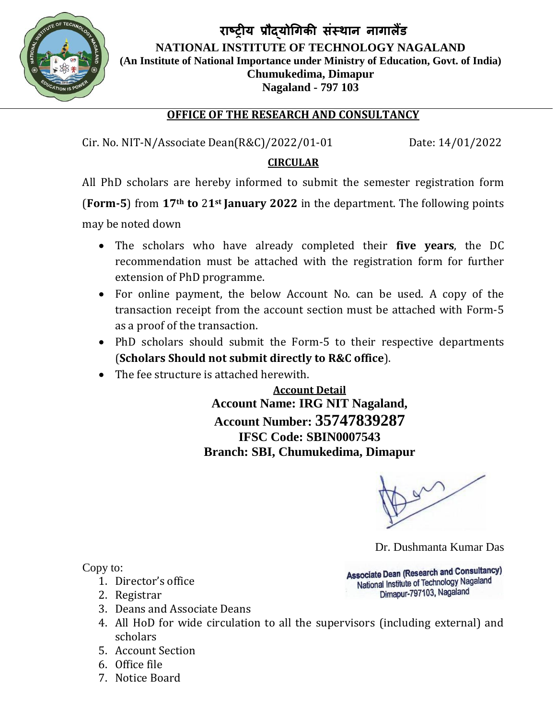

**राष्ट्रीय प्रौद्योगिकी संस्थान नािालैंड NATIONAL INSTITUTE OF TECHNOLOGY NAGALAND (An Institute of National Importance under Ministry of Education, Govt. of India) Chumukedima, Dimapur Nagaland - 797 103**

### **OFFICE OF THE RESEARCH AND CONSULTANCY**

Cir. No. NIT-N/Associate Dean(R&C)/2022/01-01 Date: 14/01/2022

#### **CIRCULAR**

All PhD scholars are hereby informed to submit the semester registration form

(**Form-5**) from **17th to** 2**1st January 2022** in the department. The following points

may be noted down

- The scholars who have already completed their **five years**, the DC recommendation must be attached with the registration form for further extension of PhD programme.
- For online payment, the below Account No. can be used. A copy of the transaction receipt from the account section must be attached with Form-5 as a proof of the transaction.
- PhD scholars should submit the Form-5 to their respective departments (**Scholars Should not submit directly to R&C office**).
- The fee structure is attached herewith.

**Account Detail Account Name: IRG NIT Nagaland, Account Number: 35747839287 IFSC Code: SBIN0007543 Branch: SBI, Chumukedima, Dimapur**

Dr. Dushmanta Kumar Das

Associate Dean (Research and Consultancy) National Institute of Technology Nagaland Dimapur-797103, Nagaland

- Copy to:
	- 1. Director's office
	- 2. Registrar
	- 3. Deans and Associate Deans
	- 4. All HoD for wide circulation to all the supervisors (including external) and scholars
	- 5. Account Section
	- 6. Office file
	- 7. Notice Board